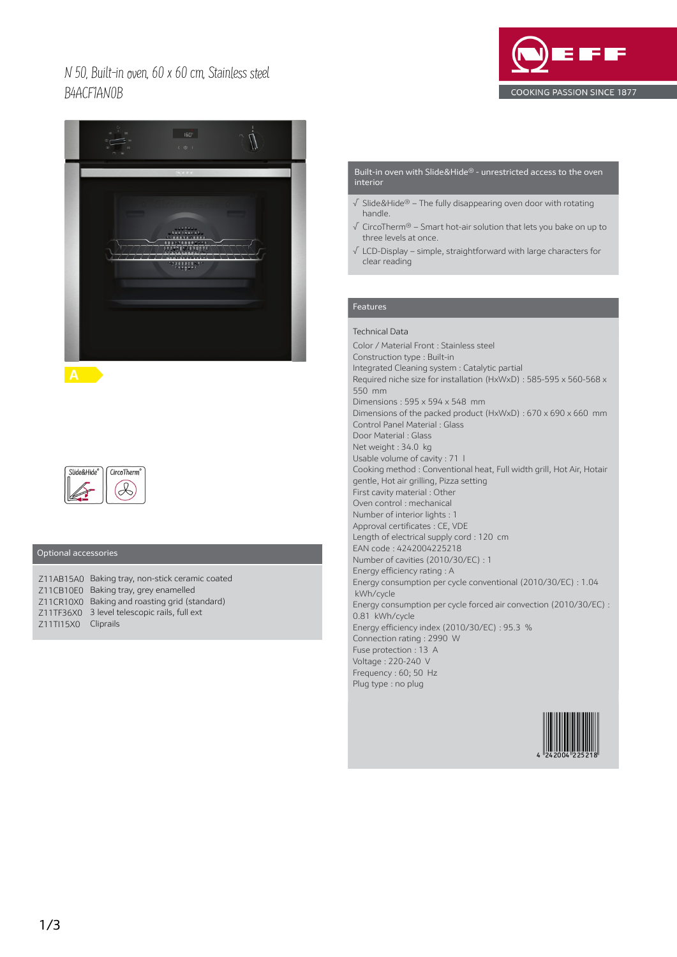N 50, Built-in oven, 60 x 60 cm, Stainless steel B4ACF1AN0B





**A** 



## Optional accessories

|                     | Z11AB15A0 Baking tray, non-stick ceramic coated |
|---------------------|-------------------------------------------------|
|                     | Z11CB10E0 Baking tray, grey enamelled           |
|                     | Z11CR10X0 Baking and roasting grid (standard)   |
|                     | Z11TF36X0 3 level telescopic rails, full ext    |
| Z11TI15X0 Cliprails |                                                 |

#### Built-in oven with Slide&Hide® - unrestricted access to the oven interior

- √ Slide&Hide® The fully disappearing oven door with rotating handle.
- √ CircoTherm® Smart hot-air solution that lets you bake on up to three levels at once.
- √ LCD-Display simple, straightforward with large characters for clear reading

## Features

Technical Data Color / Material Front : Stainless steel Construction type : Built-in Integrated Cleaning system : Catalytic partial Required niche size for installation (HxWxD) : 585-595 x 560-568 x 550 mm Dimensions : 595 x 594 x 548 mm Dimensions of the packed product (HxWxD) : 670 x 690 x 660 mm Control Panel Material : Glass Door Material : Glass Net weight : 34.0 kg Usable volume of cavity : 71 l Cooking method : Conventional heat, Full width grill, Hot Air, Hotair gentle, Hot air grilling, Pizza setting First cavity material : Other Oven control : mechanical Number of interior lights : 1 Approval certificates : CE, VDE Length of electrical supply cord : 120 cm EAN code : 4242004225218 Number of cavities (2010/30/EC) : 1 Energy efficiency rating : A Energy consumption per cycle conventional (2010/30/EC) : 1.04 kWh/cycle Energy consumption per cycle forced air convection (2010/30/EC) : 0.81 kWh/cycle Energy efficiency index (2010/30/EC) : 95.3 % Connection rating : 2990 W Fuse protection : 13 A Voltage : 220-240 V Frequency : 60; 50 Hz Plug type : no plug

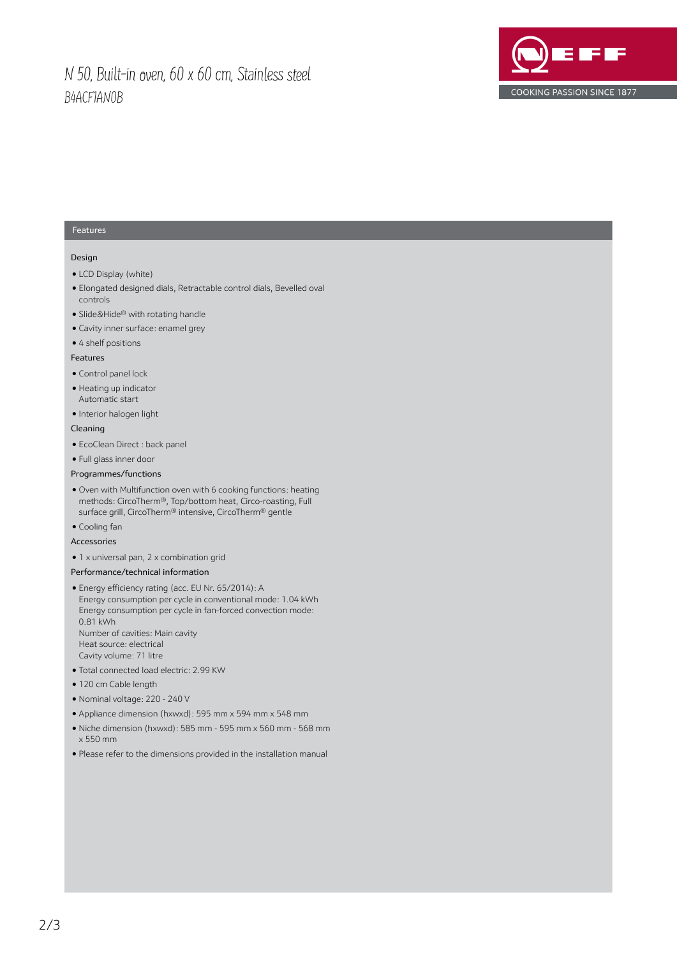# N 50, Built-in oven, 60 x 60 cm, Stainless steel B4ACF1AN0B



### Features

### Design

- LCD Display (white)
- Elongated designed dials, Retractable control dials, Bevelled oval controls
- Slide&Hide® with rotating handle
- Cavity inner surface: enamel grey
- 4 shelf positions

#### Features

- Control panel lock
- Heating up indicator Automatic start
- Interior halogen light

## Cleaning

- EcoClean Direct : back panel
- Full glass inner door
- Programmes/functions
- Oven with Multifunction oven with 6 cooking functions: heating methods: CircoTherm®, Top/bottom heat, Circo-roasting, Full surface grill, CircoTherm® intensive, CircoTherm® gentle
- Cooling fan
- Accessories
- 1 x universal pan, 2 x combination grid

## Performance/technical information

- Energy efficiency rating (acc. EU Nr. 65/2014): A Energy consumption per cycle in conventional mode: 1.04 kWh Energy consumption per cycle in fan-forced convection mode: 0.81 kWh Number of cavities: Main cavity Heat source: electrical Cavity volume: 71 litre
- Total connected load electric: 2.99 KW
- 120 cm Cable length
- Nominal voltage: 220 240 V
- Appliance dimension (hxwxd): 595 mm x 594 mm x 548 mm
- Niche dimension (hxwxd): 585 mm 595 mm x 560 mm 568 mm x 550 mm
- Please refer to the dimensions provided in the installation manual